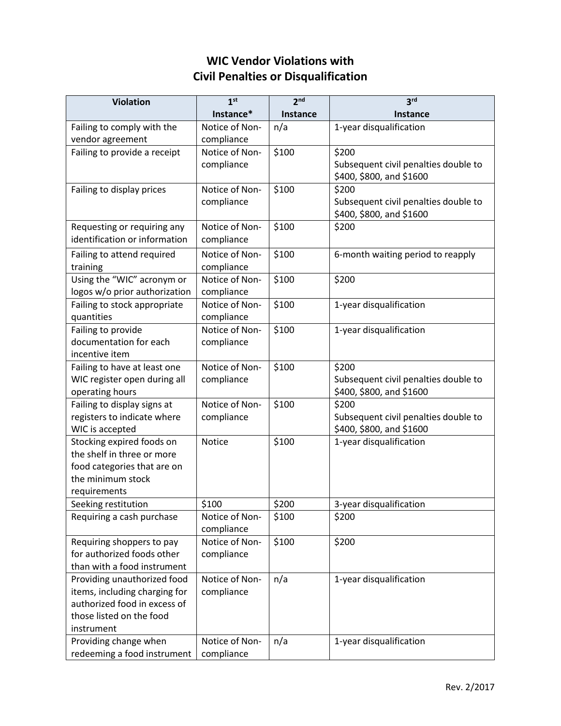## **WIC Vendor Violations with Civil Penalties or Disqualification**

| <b>Violation</b>                                 | 1 <sup>st</sup>              | 2 <sup>nd</sup> | 3 <sup>rd</sup>                      |
|--------------------------------------------------|------------------------------|-----------------|--------------------------------------|
|                                                  | Instance*                    | Instance        | Instance                             |
| Failing to comply with the                       | Notice of Non-               | n/a             | 1-year disqualification              |
| vendor agreement                                 | compliance                   |                 |                                      |
| Failing to provide a receipt                     | Notice of Non-               | \$100           | \$200                                |
|                                                  | compliance                   |                 | Subsequent civil penalties double to |
|                                                  |                              |                 | \$400, \$800, and \$1600             |
| Failing to display prices                        | Notice of Non-               | \$100           | \$200                                |
|                                                  | compliance                   |                 | Subsequent civil penalties double to |
| Requesting or requiring any                      | Notice of Non-               | \$100           | \$400, \$800, and \$1600<br>\$200    |
| identification or information                    | compliance                   |                 |                                      |
|                                                  |                              |                 |                                      |
| Failing to attend required                       | Notice of Non-               | \$100           | 6-month waiting period to reapply    |
| training<br>Using the "WIC" acronym or           | compliance<br>Notice of Non- | \$100           | \$200                                |
| logos w/o prior authorization                    | compliance                   |                 |                                      |
| Failing to stock appropriate                     | Notice of Non-               | \$100           | 1-year disqualification              |
| quantities                                       | compliance                   |                 |                                      |
| Failing to provide                               | Notice of Non-               | \$100           | 1-year disqualification              |
| documentation for each                           | compliance                   |                 |                                      |
| incentive item                                   |                              |                 |                                      |
| Failing to have at least one                     | Notice of Non-               | \$100           | \$200                                |
| WIC register open during all                     | compliance                   |                 | Subsequent civil penalties double to |
| operating hours                                  |                              |                 | \$400, \$800, and \$1600             |
| Failing to display signs at                      | Notice of Non-               | \$100           | \$200                                |
| registers to indicate where                      | compliance                   |                 | Subsequent civil penalties double to |
| WIC is accepted                                  |                              |                 | \$400, \$800, and \$1600             |
| Stocking expired foods on                        | Notice                       | \$100           | 1-year disqualification              |
| the shelf in three or more                       |                              |                 |                                      |
| food categories that are on<br>the minimum stock |                              |                 |                                      |
| requirements                                     |                              |                 |                                      |
| Seeking restitution                              | \$100                        | \$200           | 3-year disqualification              |
| Requiring a cash purchase                        | Notice of Non-               | \$100           | \$200                                |
|                                                  | compliance                   |                 |                                      |
| Requiring shoppers to pay                        | Notice of Non-               | \$100           | \$200                                |
| for authorized foods other                       | compliance                   |                 |                                      |
| than with a food instrument                      |                              |                 |                                      |
| Providing unauthorized food                      | Notice of Non-               | n/a             | 1-year disqualification              |
| items, including charging for                    | compliance                   |                 |                                      |
| authorized food in excess of                     |                              |                 |                                      |
| those listed on the food                         |                              |                 |                                      |
| instrument                                       |                              |                 |                                      |
| Providing change when                            | Notice of Non-               | n/a             | 1-year disqualification              |
| redeeming a food instrument                      | compliance                   |                 |                                      |